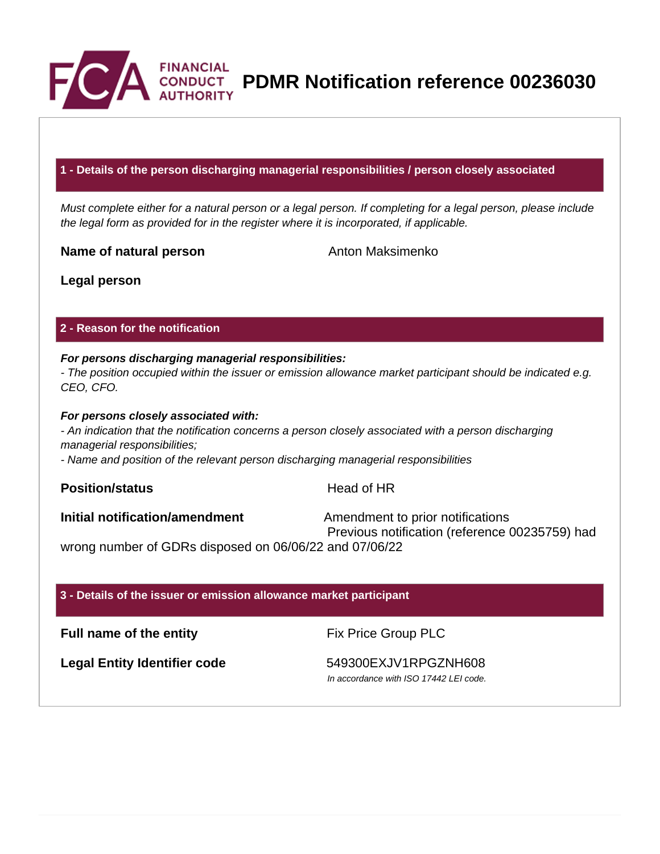

**PDMR Notification reference 00236030**

# **1 - Details of the person discharging managerial responsibilities / person closely associated**

Must complete either for a natural person or a legal person. If completing for a legal person, please include the legal form as provided for in the register where it is incorporated, if applicable.

**Name of natural person** Anton Maksimenko

**Legal person**

## **2 - Reason for the notification**

## **For persons discharging managerial responsibilities:**

- The position occupied within the issuer or emission allowance market participant should be indicated e.g. CEO, CFO.

#### **For persons closely associated with:**

- An indication that the notification concerns a person closely associated with a person discharging managerial responsibilities;

- Name and position of the relevant person discharging managerial responsibilities

**Position/status Head of HR** 

**Initial notification/amendment** Amendment to prior notifications Previous notification (reference 00235759) had

wrong number of GDRs disposed on 06/06/22 and 07/06/22

# **3 - Details of the issuer or emission allowance market participant**

**Full name of the entity** Fix Price Group PLC

Legal Entity Identifier code 549300EXJV1RPGZNH608

In accordance with ISO 17442 LEI code.